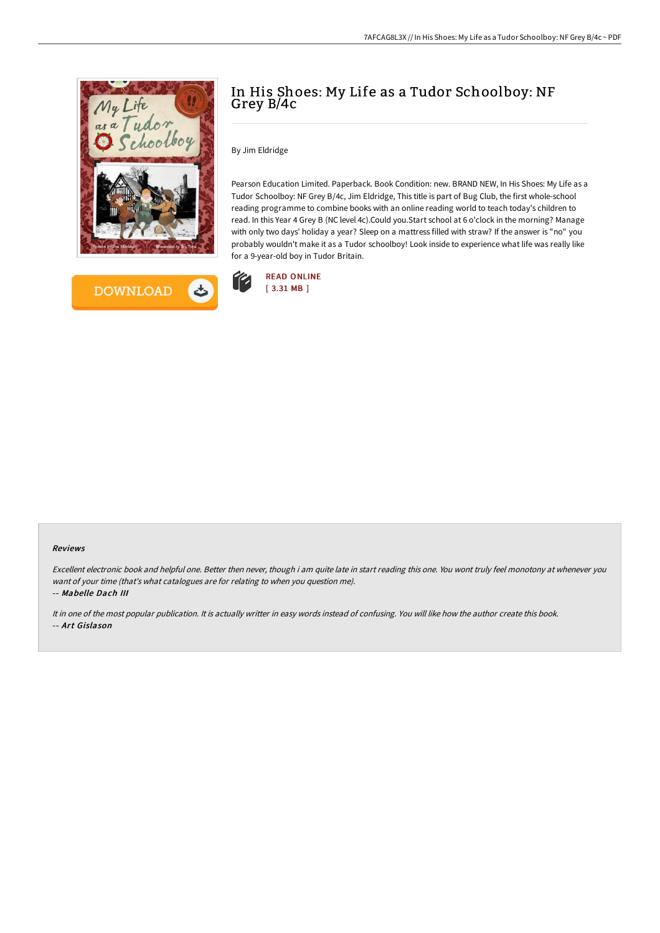



# In His Shoes: My Life as a Tudor Schoolboy: NF Grey B/4c

By Jim Eldridge

Pearson Education Limited. Paperback. Book Condition: new. BRAND NEW, In His Shoes: My Life as a Tudor Schoolboy: NF Grey B/4c, Jim Eldridge, This title is part of Bug Club, the first whole-school reading programme to combine books with an online reading world to teach today's children to read. In this Year 4 Grey B (NC level 4c).Could you.Start school at 6 o'clock in the morning? Manage with only two days' holiday a year? Sleep on a mattress filled with straw? If the answer is "no" you probably wouldn't make it as a Tudor schoolboy! Look inside to experience what life was really like for a 9-year-old boy in Tudor Britain.



### Reviews

Excellent electronic book and helpful one. Better then never, though i am quite late in start reading this one. You wont truly feel monotony at whenever you want of your time (that's what catalogues are for relating to when you question me). -- Mabelle Dach III

It in one of the most popular publication. It is actually writter in easy words instead of confusing. You will like how the author create this book. -- Art Gislason